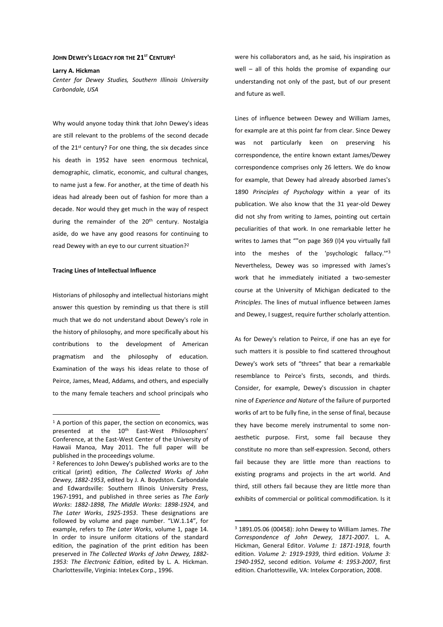## **JOHN DEWEY'S LEGACY FOR THE 21ST CENTURY<sup>1</sup>**

#### **Larry A. Hickman**

*Center for Dewey Studies, Southern Illinois University Carbondale, USA* 

Why would anyone today think that John Dewey's ideas are still relevant to the problems of the second decade of the 21<sup>st</sup> century? For one thing, the six decades since his death in 1952 have seen enormous technical, demographic, climatic, economic, and cultural changes, to name just a few. For another, at the time of death his ideas had already been out of fashion for more than a decade. Nor would they get much in the way of respect during the remainder of the 20<sup>th</sup> century. Nostalgia aside, do we have any good reasons for continuing to read Dewey with an eye to our current situation?<sup>2</sup>

## **Tracing Lines of Intellectual Influence**

 $\overline{a}$ 

Historians of philosophy and intellectual historians might answer this question by reminding us that there is still much that we do not understand about Dewey's role in the history of philosophy, and more specifically about his contributions to the development of American pragmatism and the philosophy of education. Examination of the ways his ideas relate to those of Peirce, James, Mead, Addams, and others, and especially to the many female teachers and school principals who were his collaborators and, as he said, his inspiration as well – all of this holds the promise of expanding our understanding not only of the past, but of our present and future as well.

Lines of influence between Dewey and William James, for example are at this point far from clear. Since Dewey was not particularly keen on preserving his correspondence, the entire known extant James/Dewey correspondence comprises only 26 letters. We do know for example, that Dewey had already absorbed James's 1890 *Principles of Psychology* within a year of its publication. We also know that the 31 year-old Dewey did not shy from writing to James, pointing out certain peculiarities of that work. In one remarkable letter he writes to James that ""on page 369 (I)4 you virtually fall into the meshes of the 'psychologic fallacy.'"<sup>3</sup> Nevertheless, Dewey was so impressed with James's work that he immediately initiated a two-semester course at the University of Michigan dedicated to the *Principles*. The lines of mutual influence between James and Dewey, I suggest, require further scholarly attention.

As for Dewey's relation to Peirce, if one has an eye for such matters it is possible to find scattered throughout Dewey's work sets of "threes" that bear a remarkable resemblance to Peirce's firsts, seconds, and thirds. Consider, for example, Dewey's discussion in chapter nine of *Experience and Nature* of the failure of purported works of art to be fully fine, in the sense of final, because they have become merely instrumental to some nonaesthetic purpose. First, some fail because they constitute no more than self-expression. Second, others fail because they are little more than reactions to existing programs and projects in the art world. And third, still others fail because they are little more than exhibits of commercial or political commodification. Is it

<sup>&</sup>lt;sup>1</sup> A portion of this paper, the section on economics, was presented at the 10th East-West Philosophers' Conference, at the East-West Center of the University of Hawaii Manoa, May 2011. The full paper will be published in the proceedings volume.

<sup>2</sup> References to John Dewey's published works are to the critical (print) edition, *The Collected Works of John Dewey, 1882-1953*, edited by J. A. Boydston. Carbondale and Edwardsville: Southern Illinois University Press, 1967-1991, and published in three series as *The Early Works*: *1882-1898*, *The Middle Works*: *1898-1924*, and *The Later Works*, *1925-1953*. These designations are followed by volume and page number. "LW.1.14", for example, refers to *The Later Works*, volume 1, page 14. In order to insure uniform citations of the standard edition, the pagination of the print edition has been preserved in *The Collected Works of John Dewey, 1882- 1953: The Electronic Edition*, edited by L. A. Hickman. Charlottesville, Virginia: InteLex Corp., 1996.

<sup>3</sup> 1891.05.06 (00458): John Dewey to William James. *The Correspondence of John Dewey, 1871-2007*. L. A. Hickman, General Editor. *Volume 1: 1871-1918*, fourth edition. *Volume 2: 1919-1939*, third edition. *Volume 3: 1940-1952*, second edition. *Volume 4: 1953-2007*, first edition. Charlottesville, VA: Intelex Corporation, 2008.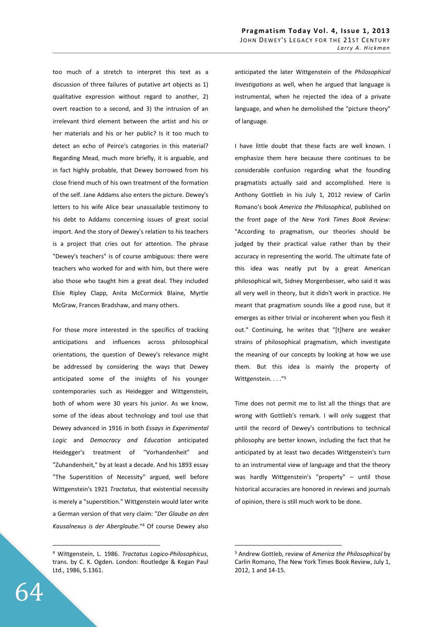too much of a stretch to interpret this text as a discussion of three failures of putative art objects as 1) qualitative expression without regard to another, 2) overt reaction to a second, and 3) the intrusion of an irrelevant third element between the artist and his or her materials and his or her public? Is it too much to detect an echo of Peirce's categories in this material? Regarding Mead, much more briefly, it is arguable, and in fact highly probable, that Dewey borrowed from his close friend much of his own treatment of the formation of the self. Jane Addams also enters the picture. Dewey's letters to his wife Alice bear unassailable testimony to his debt to Addams concerning issues of great social import. And the story of Dewey's relation to his teachers is a project that cries out for attention. The phrase "Dewey's teachers" is of course ambiguous: there were teachers who worked for and with him, but there were also those who taught him a great deal. They included Elsie Ripley Clapp, Anita McCormick Blaine, Myrtle McGraw, Frances Bradshaw, and many others.

For those more interested in the specifics of tracking anticipations and influences across philosophical orientations, the question of Dewey's relevance might be addressed by considering the ways that Dewey anticipated some of the insights of his younger contemporaries such as Heidegger and Wittgenstein, both of whom were 30 years his junior. As we know, some of the ideas about technology and tool use that Dewey advanced in 1916 in both *Essays in Experimental Logic* and *Democracy and Education* anticipated Heidegger's treatment of "Vorhandenheit" and "Zuhandenheit," by at least a decade. And his 1893 essay "The Superstition of Necessity" argued, well before Wittgenstein's 1921 *Tractatus*, that existential necessity is merely a "superstition." Wittgenstein would later write a German version of that very claim: "*Der Glaube an den Kausalnexus is der Aberglaube.*" 4 Of course Dewey also anticipated the later Wittgenstein of the *Philosophical Investigations* as well, when he argued that language is instrumental, when he rejected the idea of a private language, and when he demolished the "picture theory" of language.

I have little doubt that these facts are well known. I emphasize them here because there continues to be considerable confusion regarding what the founding pragmatists actually said and accomplished. Here is Anthony Gottlieb in his July 1, 2012 review of Carlin Romano's book *America the Philosophical*, published on the front page of the *New York Times Book Review*: "According to pragmatism, our theories should be judged by their practical value rather than by their accuracy in representing the world. The ultimate fate of this idea was neatly put by a great American philosophical wit, Sidney Morgenbesser, who said it was all very well in theory, but it didn't work in practice. He meant that pragmatism sounds like a good ruse, but it emerges as either trivial or incoherent when you flesh it out." Continuing, he writes that "[t]here are weaker strains of philosophical pragmatism, which investigate the meaning of our concepts by looking at how we use them. But this idea is mainly the property of Wittgenstein. . . . "<sup>5</sup>

Time does not permit me to list all the things that are wrong with Gottlieb's remark. I will only suggest that until the record of Dewey's contributions to technical philosophy are better known, including the fact that he anticipated by at least two decades Wittgenstein's turn to an instrumental view of language and that the theory was hardly Wittgenstein's "property" – until those historical accuracies are honored in reviews and journals of opinion, there is still much work to be done.

 $\overline{a}$ 

<sup>4</sup> Wittgenstein, L. 1986. *Tractatus Logico-Philosophicus*, trans. by C. K. Ogden. London: Routledge & Kegan Paul Ltd., 1986, 5.1361.

<sup>5</sup> Andrew Gottleb, review of *America the Philosophical* by Carlin Romano, The New York Times Book Review, July 1, 2012, 1 and 14-15.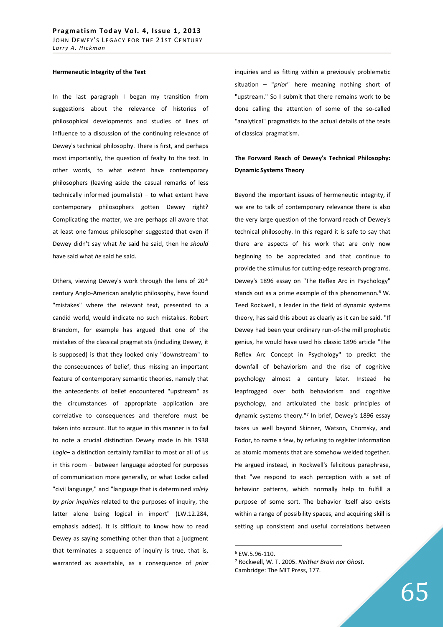### **Hermeneutic Integrity of the Text**

In the last paragraph I began my transition from suggestions about the relevance of histories of philosophical developments and studies of lines of influence to a discussion of the continuing relevance of Dewey's technical philosophy. There is first, and perhaps most importantly, the question of fealty to the text. In other words, to what extent have contemporary philosophers (leaving aside the casual remarks of less technically informed journalists) – to what extent have contemporary philosophers gotten Dewey right? Complicating the matter, we are perhaps all aware that at least one famous philosopher suggested that even if Dewey didn't say what *he* said he said, then he *should* have said what *he* said he said.

Others, viewing Dewey's work through the lens of 20<sup>th</sup> century Anglo-American analytic philosophy, have found "mistakes" where the relevant text, presented to a candid world, would indicate no such mistakes. Robert Brandom, for example has argued that one of the mistakes of the classical pragmatists (including Dewey, it is supposed) is that they looked only "downstream" to the consequences of belief, thus missing an important feature of contemporary semantic theories, namely that the antecedents of belief encountered "upstream" as the circumstances of appropriate application are correlative to consequences and therefore must be taken into account. But to argue in this manner is to fail to note a crucial distinction Dewey made in his 1938 *Logic*– a distinction certainly familiar to most or all of us in this room – between language adopted for purposes of communication more generally, or what Locke called "civil language," and "language that is determined *solely by prior inquiries* related to the purposes of inquiry, the latter alone being logical in import" (LW.12.284, emphasis added). It is difficult to know how to read Dewey as saying something other than that a judgment that terminates a sequence of inquiry is true, that is, warranted as assertable, as a consequence of *prior* 

inquiries and as fitting within a previously problematic situation – "*prior*" here meaning nothing short of "upstream." So I submit that there remains work to be done calling the attention of some of the so-called "analytical" pragmatists to the actual details of the texts of classical pragmatism.

# **The Forward Reach of Dewey's Technical Philosophy: Dynamic Systems Theory**

Beyond the important issues of hermeneutic integrity, if we are to talk of contemporary relevance there is also the very large question of the forward reach of Dewey's technical philosophy. In this regard it is safe to say that there are aspects of his work that are only now beginning to be appreciated and that continue to provide the stimulus for cutting-edge research programs. Dewey's 1896 essay on "The Reflex Arc in Psychology" stands out as a prime example of this phenomenon.<sup>6</sup> W. Teed Rockwell, a leader in the field of dynamic systems theory, has said this about as clearly as it can be said. "If Dewey had been your ordinary run-of-the mill prophetic genius, he would have used his classic 1896 article "The Reflex Arc Concept in Psychology" to predict the downfall of behaviorism and the rise of cognitive psychology almost a century later. Instead he leapfrogged over both behaviorism and cognitive psychology, and articulated the basic principles of dynamic systems theory."<sup>7</sup> In brief, Dewey's 1896 essay takes us well beyond Skinner, Watson, Chomsky, and Fodor, to name a few, by refusing to register information as atomic moments that are somehow welded together. He argued instead, in Rockwell's felicitous paraphrase, that "we respond to each perception with a set of behavior patterns, which normally help to fulfill a purpose of some sort. The behavior itself also exists within a range of possibility spaces, and acquiring skill is setting up consistent and useful correlations between

<sup>6</sup> EW.5.96-110.

<sup>7</sup> Rockwell, W. T. 2005. *Neither Brain nor Ghost*. Cambridge: The MIT Press, 177.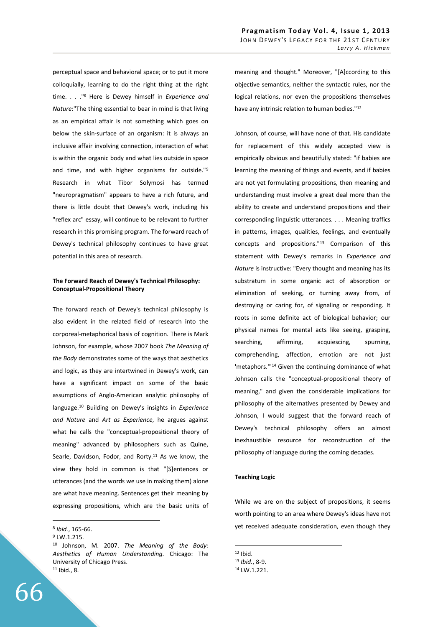perceptual space and behavioral space; or to put it more colloquially, learning to do the right thing at the right time. . . ."<sup>8</sup> Here is Dewey himself in *Experience and Nature*:"The thing essential to bear in mind is that living as an empirical affair is not something which goes on below the skin-surface of an organism: it is always an inclusive affair involving connection, interaction of what is within the organic body and what lies outside in space and time, and with higher organisms far outside."<sup>9</sup> Research in what Tibor Solymosi has termed "neuropragmatism" appears to have a rich future, and there is little doubt that Dewey's work, including his "reflex arc" essay, will continue to be relevant to further research in this promising program. The forward reach of Dewey's technical philosophy continues to have great potential in this area of research.

# **The Forward Reach of Dewey's Technical Philosophy: Conceptual-Propositional Theory**

The forward reach of Dewey's technical philosophy is also evident in the related field of research into the corporeal-metaphorical basis of cognition. There is Mark Johnson, for example, whose 2007 book *The Meaning of the Body* demonstrates some of the ways that aesthetics and logic, as they are intertwined in Dewey's work, can have a significant impact on some of the basic assumptions of Anglo-American analytic philosophy of language.<sup>10</sup> Building on Dewey's insights in *Experience and Nature* and *Art as Experience*, he argues against what he calls the "conceptual-propositional theory of meaning" advanced by philosophers such as Quine, Searle, Davidson, Fodor, and Rorty.<sup>11</sup> As we know, the view they hold in common is that "[S]entences or utterances (and the words we use in making them) alone are what have meaning. Sentences get their meaning by expressing propositions, which are the basic units of

 $\overline{a}$ 

meaning and thought." Moreover, "[A]ccording to this objective semantics, neither the syntactic rules, nor the logical relations, nor even the propositions themselves have any intrinsic relation to human bodies."<sup>12</sup>

Johnson, of course, will have none of that. His candidate for replacement of this widely accepted view is empirically obvious and beautifully stated: "if babies are learning the meaning of things and events, and if babies are not yet formulating propositions, then meaning and understanding must involve a great deal more than the ability to create and understand propositions and their corresponding linguistic utterances. . . . Meaning traffics in patterns, images, qualities, feelings, and eventually concepts and propositions."<sup>13</sup> Comparison of this statement with Dewey's remarks in *Experience and Nature* is instructive: "Every thought and meaning has its substratum in some organic act of absorption or elimination of seeking, or turning away from, of destroying or caring for, of signaling or responding. It roots in some definite act of biological behavior; our physical names for mental acts like seeing, grasping, searching, affirming, acquiescing, spurning, comprehending, affection, emotion are not just 'metaphors.'"<sup>14</sup> Given the continuing dominance of what Johnson calls the "conceptual-propositional theory of meaning," and given the considerable implications for philosophy of the alternatives presented by Dewey and Johnson, I would suggest that the forward reach of Dewey's technical philosophy offers an almost inexhaustible resource for reconstruction of the philosophy of language during the coming decades.

# **Teaching Logic**

While we are on the subject of propositions, it seems worth pointing to an area where Dewey's ideas have not yet received adequate consideration, even though they

<sup>8</sup> *Ibid.*, 165-66.

<sup>&</sup>lt;sup>9</sup> LW.1.215.

<sup>10</sup> Johnson, M. 2007. *The Meaning of the Body: Aesthetics of Human Understanding.* Chicago: The University of Chicago Press. <sup>11</sup> Ibid., 8.

 $12$  Ibid.

<sup>13</sup> *Ibid.*, 8-9.

<sup>14</sup> LW.1.221.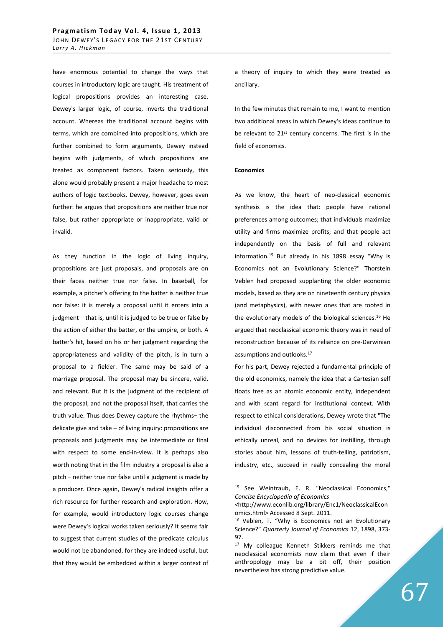have enormous potential to change the ways that courses in introductory logic are taught. His treatment of logical propositions provides an interesting case. Dewey's larger logic, of course, inverts the traditional account. Whereas the traditional account begins with terms, which are combined into propositions, which are further combined to form arguments, Dewey instead begins with judgments, of which propositions are treated as component factors. Taken seriously, this alone would probably present a major headache to most authors of logic textbooks. Dewey, however, goes even further: he argues that propositions are neither true nor false, but rather appropriate or inappropriate, valid or invalid.

As they function in the logic of living inquiry, propositions are just proposals, and proposals are on their faces neither true nor false. In baseball, for example, a pitcher's offering to the batter is neither true nor false: it is merely a proposal until it enters into a judgment – that is, until it is judged to be true or false by the action of either the batter, or the umpire, or both. A batter's hit, based on his or her judgment regarding the appropriateness and validity of the pitch, is in turn a proposal to a fielder. The same may be said of a marriage proposal. The proposal may be sincere, valid, and relevant. But it is the judgment of the recipient of the proposal, and not the proposal itself, that carries the truth value. Thus does Dewey capture the rhythms– the delicate give and take – of living inquiry: propositions are proposals and judgments may be intermediate or final with respect to some end-in-view. It is perhaps also worth noting that in the film industry a proposal is also a pitch – neither true nor false until a judgment is made by a producer. Once again, Dewey's radical insights offer a rich resource for further research and exploration. How, for example, would introductory logic courses change were Dewey's logical works taken seriously? It seems fair to suggest that current studies of the predicate calculus would not be abandoned, for they are indeed useful, but that they would be embedded within a larger context of a theory of inquiry to which they were treated as ancillary.

In the few minutes that remain to me, I want to mention two additional areas in which Dewey's ideas continue to be relevant to 21<sup>st</sup> century concerns. The first is in the field of economics.

# **Economics**

 $\overline{a}$ 

As we know, the heart of neo-classical economic synthesis is the idea that: people have rational preferences among outcomes; that individuals maximize utility and firms maximize profits; and that people act independently on the basis of full and relevant information.<sup>15</sup> But already in his 1898 essay "Why is Economics not an Evolutionary Science?" Thorstein Veblen had proposed supplanting the older economic models, based as they are on nineteenth century physics (and metaphysics), with newer ones that are rooted in the evolutionary models of the biological sciences.<sup>16</sup> He argued that neoclassical economic theory was in need of reconstruction because of its reliance on pre-Darwinian assumptions and outlooks.<sup>17</sup>

For his part, Dewey rejected a fundamental principle of the old economics, namely the idea that a Cartesian self floats free as an atomic economic entity, independent and with scant regard for institutional context. With respect to ethical considerations, Dewey wrote that "The individual disconnected from his social situation is ethically unreal, and no devices for instilling, through stories about him, lessons of truth-telling, patriotism, industry, etc., succeed in really concealing the moral

<sup>15</sup> See Weintraub, E. R. "Neoclassical Economics," *Concise Encyclopedia of Economics* 

<sup>&</sup>lt;http://www.econlib.org/library/Enc1/NeoclassicalEcon omics.html> Accessed 8 Sept. 2011.

<sup>16</sup> Veblen, T. "Why is Economics not an Evolutionary Science?" *Quarterly Journal of Economics* 12, 1898, 373- 97.

<sup>&</sup>lt;sup>17</sup> My colleague Kenneth Stikkers reminds me that neoclassical economists now claim that even if their anthropology may be a bit off, their position nevertheless has strong predictive value.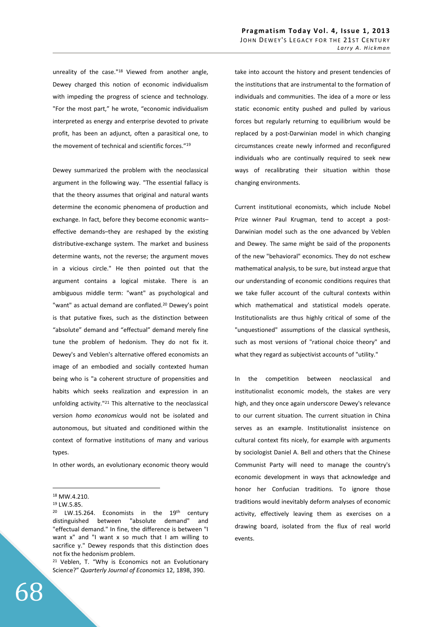unreality of the case."<sup>18</sup> Viewed from another angle, Dewey charged this notion of economic individualism with impeding the progress of science and technology. "For the most part," he wrote, "economic individualism interpreted as energy and enterprise devoted to private profit, has been an adjunct, often a parasitical one, to the movement of technical and scientific forces."<sup>19</sup>

Dewey summarized the problem with the neoclassical argument in the following way. "The essential fallacy is that the theory assumes that original and natural wants determine the economic phenomena of production and exchange. In fact, before they become economic wants– effective demands–they are reshaped by the existing distributive-exchange system. The market and business determine wants, not the reverse; the argument moves in a vicious circle." He then pointed out that the argument contains a logical mistake. There is an ambiguous middle term: "want" as psychological and "want" as actual demand are conflated.<sup>20</sup> Dewey's point is that putative fixes, such as the distinction between "absolute" demand and "effectual" demand merely fine tune the problem of hedonism. They do not fix it. Dewey's and Veblen's alternative offered economists an image of an embodied and socially contexted human being who is "a coherent structure of propensities and habits which seeks realization and expression in an unfolding activity."<sup>21</sup> This alternative to the neoclassical version *homo economicus* would not be isolated and autonomous, but situated and conditioned within the context of formative institutions of many and various types.

In other words, an evolutionary economic theory would

 $\overline{a}$ 

take into account the history and present tendencies of the institutions that are instrumental to the formation of individuals and communities. The idea of a more or less static economic entity pushed and pulled by various forces but regularly returning to equilibrium would be replaced by a post-Darwinian model in which changing circumstances create newly informed and reconfigured individuals who are continually required to seek new ways of recalibrating their situation within those changing environments.

Current institutional economists, which include Nobel Prize winner Paul Krugman, tend to accept a post-Darwinian model such as the one advanced by Veblen and Dewey. The same might be said of the proponents of the new "behavioral" economics. They do not eschew mathematical analysis, to be sure, but instead argue that our understanding of economic conditions requires that we take fuller account of the cultural contexts within which mathematical and statistical models operate. Institutionalists are thus highly critical of some of the "unquestioned" assumptions of the classical synthesis, such as most versions of "rational choice theory" and what they regard as subjectivist accounts of "utility."

In the competition between neoclassical and institutionalist economic models, the stakes are very high, and they once again underscore Dewey's relevance to our current situation. The current situation in China serves as an example. Institutionalist insistence on cultural context fits nicely, for example with arguments by sociologist Daniel A. Bell and others that the Chinese Communist Party will need to manage the country's economic development in ways that acknowledge and honor her Confucian traditions. To ignore those traditions would inevitably deform analyses of economic activity, effectively leaving them as exercises on a drawing board, isolated from the flux of real world events.

<sup>18</sup> MW.4.210.

<sup>19</sup> LW.5.85.

<sup>&</sup>lt;sup>20</sup> LW.15.264. Economists in the 19<sup>th</sup> century distinguished between "absolute demand" and "effectual demand." In fine, the difference is between "I want x" and "I want x so much that I am willing to sacrifice y." Dewey responds that this distinction does not fix the hedonism problem.

<sup>&</sup>lt;sup>21</sup> Veblen, T. "Why is Economics not an Evolutionary Science?" *Quarterly Journal of Economics* 12, 1898, 390.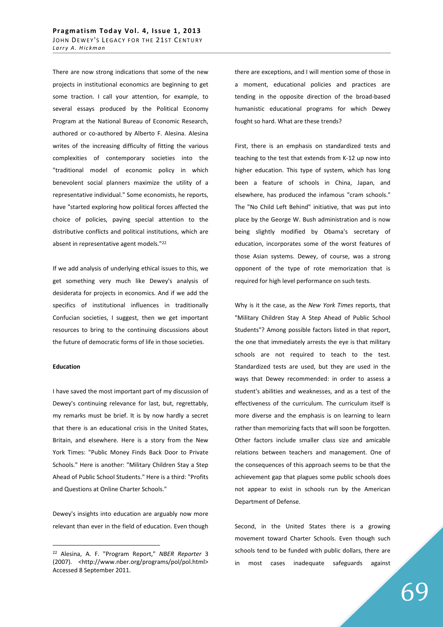There are now strong indications that some of the new projects in institutional economics are beginning to get some traction. I call your attention, for example, to several essays produced by the Political Economy Program at the National Bureau of Economic Research, authored or co-authored by Alberto F. Alesina. Alesina writes of the increasing difficulty of fitting the various complexities of contemporary societies into the "traditional model of economic policy in which benevolent social planners maximize the utility of a representative individual." Some economists, he reports, have "started exploring how political forces affected the choice of policies, paying special attention to the distributive conflicts and political institutions, which are absent in representative agent models."<sup>22</sup>

If we add analysis of underlying ethical issues to this, we get something very much like Dewey's analysis of desiderata for projects in economics. And if we add the specifics of institutional influences in traditionally Confucian societies, I suggest, then we get important resources to bring to the continuing discussions about the future of democratic forms of life in those societies.

### **Education**

 $\overline{a}$ 

I have saved the most important part of my discussion of Dewey's continuing relevance for last, but, regrettably, my remarks must be brief. It is by now hardly a secret that there is an educational crisis in the United States, Britain, and elsewhere. Here is a story from the New York Times: "Public Money Finds Back Door to Private Schools." Here is another: "Military Children Stay a Step Ahead of Public School Students." Here is a third: "Profits and Questions at Online Charter Schools."

Dewey's insights into education are arguably now more relevant than ever in the field of education. Even though there are exceptions, and I will mention some of those in a moment, educational policies and practices are tending in the opposite direction of the broad-based humanistic educational programs for which Dewey fought so hard. What are these trends?

First, there is an emphasis on standardized tests and teaching to the test that extends from K-12 up now into higher education. This type of system, which has long been a feature of schools in China, Japan, and elsewhere, has produced the infamous "cram schools." The "No Child Left Behind" initiative, that was put into place by the George W. Bush administration and is now being slightly modified by Obama's secretary of education, incorporates some of the worst features of those Asian systems. Dewey, of course, was a strong opponent of the type of rote memorization that is required for high level performance on such tests.

Why is it the case, as the *New York Times* reports, that "Military Children Stay A Step Ahead of Public School Students"? Among possible factors listed in that report, the one that immediately arrests the eye is that military schools are not required to teach to the test. Standardized tests are used, but they are used in the ways that Dewey recommended: in order to assess a student's abilities and weaknesses, and as a test of the effectiveness of the curriculum. The curriculum itself is more diverse and the emphasis is on learning to learn rather than memorizing facts that will soon be forgotten. Other factors include smaller class size and amicable relations between teachers and management. One of the consequences of this approach seems to be that the achievement gap that plagues some public schools does not appear to exist in schools run by the American Department of Defense.

Second, in the United States there is a growing movement toward Charter Schools. Even though such schools tend to be funded with public dollars, there are in most cases inadequate safeguards against

<sup>22</sup> Alesina, A. F. "Program Report," *NBER Reporter* 3 (2007). <http://www.nber.org/programs/pol/pol.html> Accessed 8 September 2011.